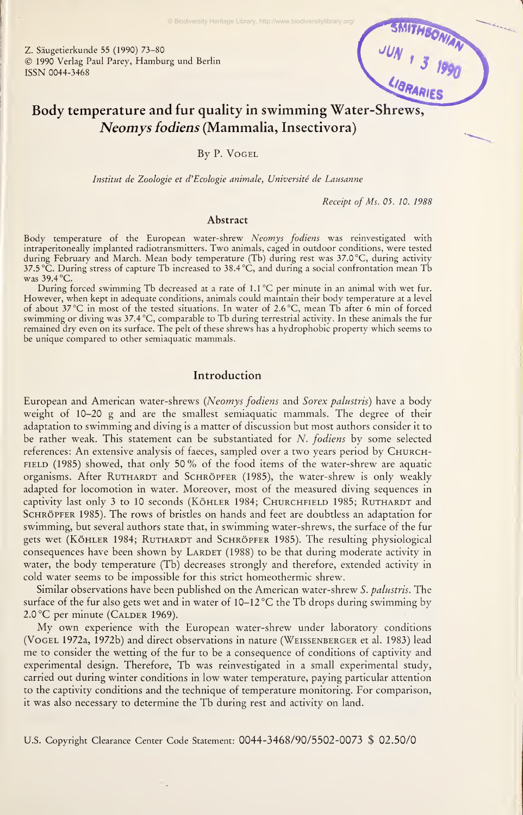© Biodiversity Heritage Library, http://www.biodiversitylibrary.org/

Z. Säugetierkunde 55 (1990) 73-80 © <sup>1990</sup> Verlag Paul Parey, Hamburg und Berlin ISSN 0044-3468



# Body temperature and für quality in swimming Water-Shrews, Neomys fodiens (Mammalia, Insectivora)

By P.Vogel

Institut de Zoologie et d'Ecologie animale, Université de Lausanne

Receipt of Ms. 05. 10. 1988

#### Abstract

Body temperature of the European water-shrew Neomys fodiens was reinvestigated with intraperitoneally implanted radiotransmitters. Two animals, caged in outdoor conditions, were tested during February and March. Mean body temperature (Tb) during rest was 37.0 °C, during activity 37.5 °C. During stress of capture Tb increased to 38.4 °C, and during <sup>a</sup> social confrontation mean Tb was 39.4 °C.

During forced swimming Tb decreased at <sup>a</sup> rate of 1.1 °C per minute in an animal with wet für. However, when kept in adequate conditions, animals could maintain their body temperature at a level of about 37 °C in most of the tested situations. In water of 2.6 °C, mean Tb after <sup>6</sup> min of forced swimming or diving was 37.4 °C, comparable to Tb during terrestrial activity. In these animals the für remained dry even on its surface. The pelt of these shrews has a hydrophobic property which seems to be unique compared to other semiaquatic mammals.

# Introduction

European and American water-shrews (Neomys fodiens and Sorex palustris) have <sup>a</sup> body weight of 10-20 g and are the smallest semiaquatic mammals. The degree of their adaptation to swimming and diving is a matter of discussion but most authors consider it to be rather weak. This statement can be substantiated for  $N$ . fodiens by some selected references: An extensive analysis of faeces, sampled over <sup>a</sup> two years period by Church-FIELD (1985) showed, that only 50% of the food items of the water-shrew are aquatic organisms. After RUTHARDT and SCHRÖPFER (1985), the water-shrew is only weakly adapted for locomotion in water. Moreover, most of the measured diving sequences in captivity last only 3 to 10 seconds (KÖHLER 1984; CHURCHFIELD 1985; RUTHARDT and SCHRÖPFER 1985). The rows of bristles on hands and feet are doubtless an adaptation for swimming, but several authors state that, in swimming water-shrews, the surface of the fur gets wet (KÖHLER 1984; RUTHARDT and SCHRÖPFER 1985). The resulting physiological consequences have been shown by LARDET (1988) to be that during moderate activity in water, the body temperature (Tb) decreases strongly and therefore, extended activity in cold water seems to be impossible for this strict homeothermic shrew.

Similar observations have been published on the American water-shrew S. palustris. The surface of the fur also gets wet and in water of  $10-12$  °C the Tb drops during swimming by 2.0 °C per minute (CALDER 1969).

My own experience with the European water-shrew under laboratory conditions (Vogel 1972a, 1972b) and direct observations in nature (Weissenberger et al. 1983) lead me to consider the wetting of the fur to be a consequence of conditions of captivity and experimental design. Therefore, Tb was reinvestigated in <sup>a</sup> small experimental study, carried out during winter conditions in low water temperature, paying particular attention to the captivity conditions and the technique of temperature monitoring. For comparison, it was also necessary to determine the Tb during rest and activity on land.

U.S. Copyright Clearance Center Code Statement: 0044-3468/90/5502-0073 \$ 02.50/0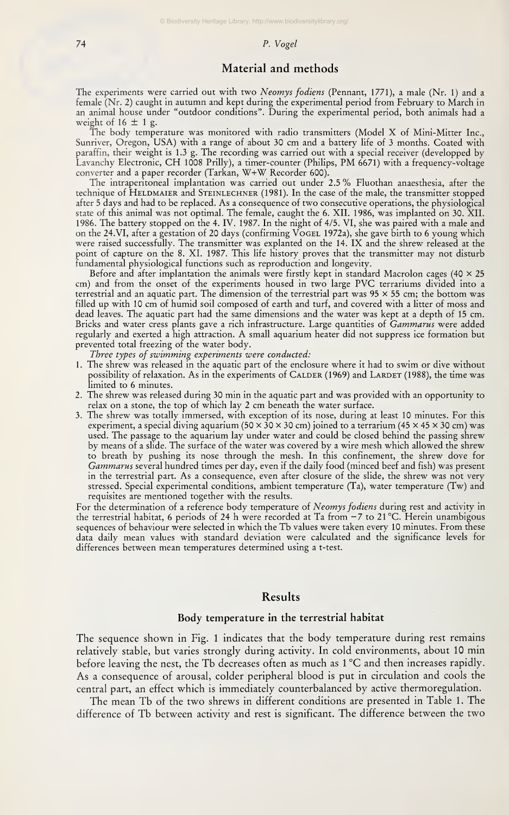# 74 P. Vogel

# Material and methods

The experiments were carried out with two Neomys fodiens (Pennant, 1771), a male (Nr. 1) and a female (Nr. 2) caught in autumn and kept during the experimental period from February to March in<br>an animal house under "outdoor conditions". During the experimental period, both animals had a weight of  $16 \pm 1$  g.

The body temperature was monitored with radio transmitters (Model X of Mini-Mitter Inc., Sunriver, Oregon, USA) with <sup>a</sup> ränge of about 30 cm and <sup>a</sup> battery life of <sup>3</sup> months. Coated with paraffin, their weight is1.3 g. The recording was carried out with <sup>a</sup> special receiver (developped by Lavanchy Electronic, CH <sup>1008</sup> Prilly), <sup>a</sup> timer-counter (Philips, PM 6671) with <sup>a</sup> frequency-voltage Converter and <sup>a</sup> paper recorder (Tarkan, W+W Recorder 600).

The intraperitoneal implantation was carried out under 2.5 % Fluothan anaesthesia, after the technique of HELDMAIER and STEINLECHNER (1981). In the case of the male, the transmitter stopped after <sup>5</sup> days and had to be replaced. As <sup>a</sup> consequence of two consecutive Operations, the physiological State of this animal was not optimal. The female, caught the 6. XII. 1986, was implanted on 30. XII. 1986. The battery stopped on the 4. IV. 1987. In the night of 4/5. VI, she was paired with <sup>a</sup> male and on the 24.VI, after <sup>a</sup> gestation of 20 days (confirming Vogel 1972a), she gave Birth to 6 young which were raised successfully. The transmitter was explanted on the 14. IX and the shrew released at the point of capture on the 8. XI. 1987. This life history proves that the transmitter may not disturb fundamental physiological functions such as reproduction and longevity.

Before and after implantation the animals were firstly kept in standard Macrolon cages (40  $\times$  25 cm) and from the onset of the experiments housed in two large PVC terrariums divided into <sup>a</sup> terrestrial and an aquatic part. The dimension of the terrestrial part was 95 x 55 cm; the bottom was filled up with 10 cm of humid soil composed of earth and turf, and covered with <sup>a</sup> litter of moss and dead leaves. The aquatic part had the same dimensions and the water was kept at a depth of 15 cm. Bricks and water cress plants gave a rich infrastructure. Large quantities of Gammarus were added regularly and exerted <sup>a</sup> high attraction. A small aquarium heater did not suppress ice formation but prevented total freezing of the water body.

Three types of swimming experiments were conducted:

- <sup>1</sup> . The shrew was released in the aquatic part of the enclosure where it had to swim or dive without possibility of relaxation. As in the experiments of CaLDER (1969) and Larder (1988), the time was<br>limited to 6 minutes.
- 2. The shrew was released during 30 min in the aquatic part and was provided with an opportunity to relax on <sup>a</sup> stone, the top of which lay 2 cm beneath the water surface.
- 3. The shrew was totally immersed, with exception of its nose, during at least 10 minutes. For this experiment, a special diving aquarium (50  $\times$  30  $\times$  30 cm) joined to a terrarium (45  $\times$  45  $\times$  30 cm) was used. The passage to the aquarium lay under water and could be closed behind the passing shrew by means of <sup>a</sup> slide. The surface of the water was covered by <sup>a</sup> wire mesh which allowed the shrew to breath by pushing its nose through the mesh. In this confinement, the shrew dove for Gammarus several hundred times per day, even if the daily food (minced beef and fish) was present in the terrestrial part. As <sup>a</sup> consequence, even after closure of the slide, the shrew was not very stressed. Special experimental conditions, ambient temperature (Ta), water temperature (Tw) and requisites are mentioned together with the results.

For the determination of a reference body temperature of Neomys fodiens during rest and activity in the terrestrial habitat, <sup>6</sup> periods of 24 h were recorded at Ta from -7 to <sup>21</sup> °C. Herein unambigous sequences of behaviour were selected in which the Tb values were taken every 10 minutes. From these data daily mean values with standard deviation were calculated and the significance levels for differences between mean temperatures determined using <sup>a</sup> t-test.

# Results

## Body temperature in the terrestrial habitat

The sequence shown in Fig. <sup>1</sup> indicates that the body temperature during rest remains relatively stable, but varies strongly during activity. In cold environments, about 10 min before leaving the nest, the Tb decreases often as much as <sup>1</sup> °C and then increases rapidly. As a consequence of arousal, colder peripheral blood is put in circulation and cools the central part, an effect which is immediately counterbalanced by active thermoregulation.

The mean Tb of the two shrews in different conditions are presented in Table 1. The difference of Tb between activity and rest is significant. The difference between the two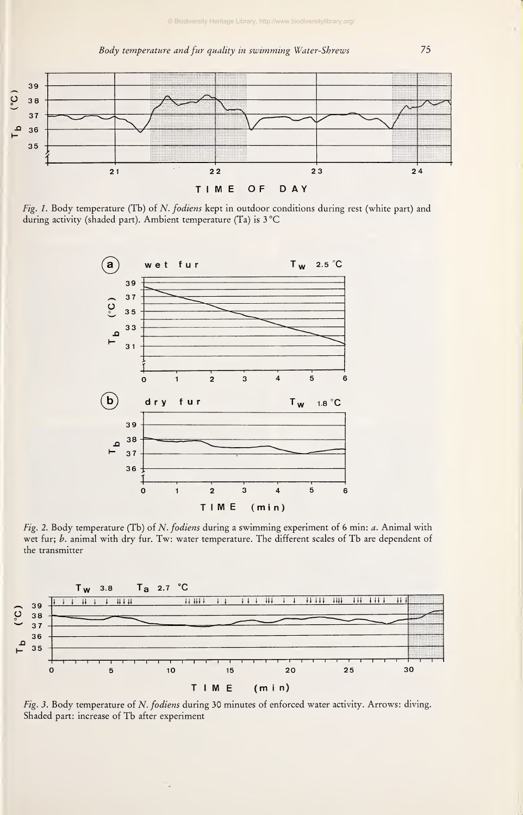

Fig. 1. Body temperature (Tb) of N. fodiens kept in outdoor conditions during rest (white part) and during activity (shaded part). Ambient temperature (Ta) is 3°C



Fig. 2. Body temperature (Tb) of N. fodiens during <sup>a</sup> swimming experiment of 6 min: a. Animal with wet fur; b. animal with dry fur. Tw: water temperature. The different scales of Tb are dependent of the transmitter



Fig. 3. Body temperature of N. fodiens during 30 minutes of enforced water activity. Arrows: diving. Shaded part: increase of Tb after experiment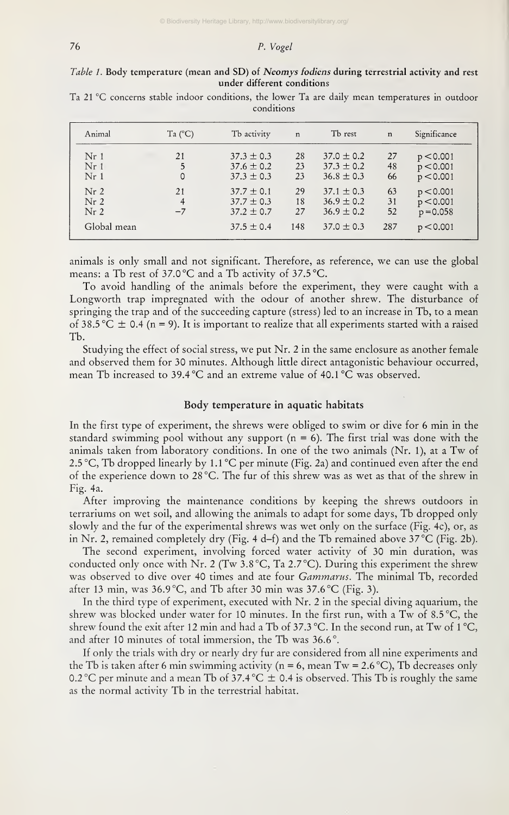# 76 P. Vogel

# Table 1. Body temperature (mean and SD) of Neomys fodiens during terrestrial activity and rest under different conditions

Ta 21 °C concerns stable indoor conditions, the lower Ta are daily mean temperatures in outdoor conditions

| Animal          | Ta $(^{\circ}C)$ | Tb activity    | $\mathbf n$ | Tb rest        | $\mathbf n$ | Significance |
|-----------------|------------------|----------------|-------------|----------------|-------------|--------------|
| Nr <sub>1</sub> | 21               | $37.3 \pm 0.3$ | 28          | $37.0 \pm 0.2$ | 27          | p < 0.001    |
| Nr <sub>1</sub> | 5                | $37.6 \pm 0.2$ | 23          | $37.3 \pm 0.2$ | 48          | p < 0.001    |
| Nr <sub>1</sub> | 0                | $37.3 \pm 0.3$ | 23          | $36.8 \pm 0.3$ | 66          | p < 0.001    |
| Nr <sub>2</sub> | 21               | $37.7 \pm 0.1$ | 29          | $37.1 \pm 0.3$ | 63          | p < 0.001    |
| Nr <sub>2</sub> | 4                | $37.7 \pm 0.3$ | 18          | $36.9 \pm 0.2$ | 31          | p < 0.001    |
| Nr <sub>2</sub> | $-7$             | $37.2 \pm 0.7$ | 27          | $36.9 \pm 0.2$ | 52          | $p = 0.058$  |
| Global mean     |                  | $37.5 \pm 0.4$ | 148         | $37.0 \pm 0.3$ | 287         | p < 0.001    |

animals is only small and not significant. Therefore, as reference, we can use the global means: <sup>a</sup> Tb rest of 37.0 °C and <sup>a</sup> Tb activity of 37.5 °C.

To avoid handling of the animals before the experiment, they were caught with <sup>a</sup> Longworth trap impregnated with the odour of another shrew. The disturbance of springing the trap and of the succeeding capture (stress) led to an increase in Tb, to <sup>a</sup> mean of 38.5 °C  $\pm$  0.4 (n = 9). It is important to realize that all experiments started with a raised Tb.

Studying the effect of social stress, we put Nr. 2 in the same enclosure as another female and observed them for 30 minutes. Although little direct antagonistic behaviour occurred, mean Tb increased to 39.4 °C and an extreme value of 40.1 °C was observed.

# Body temperature in aquatic habitats

In the first type of experiment, the shrews were obliged to swim or dive for 6 min in the standard swimming pool without any support ( $n = 6$ ). The first trial was done with the animals taken from laboratory conditions. In one of the two animals (Nr. 1), at <sup>a</sup> Tw of 2.5 °C, Tb dropped linearly by 1.1 °C per minute (Fig. 2a) and continued even after the end of the experience down to28 °C. The für of this shrew was as wet as that of the shrew in Fig. 4a.

After improving the maintenance conditions by keeping the shrews outdoors in terrariums on wet soil, and allowing the animals to adapt for some days, Tb dropped only slowly and the für of the experimental shrews was wet only on the surface (Fig. 4c), or, as in Nr. 2, remained completely dry (Fig. 4 d-f) and the Tb remained above 37 °C (Fig. 2b).

The second experiment, involving forced water activity of 30 min duration, was conducted only once with Nr. 2 (Tw  $3.8\,^{\circ}$ C, Ta 2.7 $^{\circ}$ C). During this experiment the shrew was observed to dive over 40 times and ate four *Gammarus*. The minimal Tb, recorded after 13 min, was  $36.9^{\circ}$ C, and Tb after 30 min was  $37.6^{\circ}$ C (Fig. 3).

In the third type of experiment, executed with Nr. 2 in the special diving aquarium, the shrew was blocked under water for <sup>10</sup> minutes. In the first run, with <sup>a</sup> Tw of 8.5 °C, the shrew found the exit after 12 min and had a Tb of 37.3 °C. In the second run, at Tw of 1 °C, and after 10 minutes of total immersion, the Tb was 36.6°.

If only the trials with dry or nearly dry fur are considered from all nine experiments and the Tb is taken after 6 min swimming activity ( $n = 6$ , mean Tw = 2.6 °C), Tb decreases only 0.2 °C per minute and a mean Tb of 37.4 °C  $\pm$  0.4 is observed. This Tb is roughly the same as the normal activity Tb in the terrestrial habitat.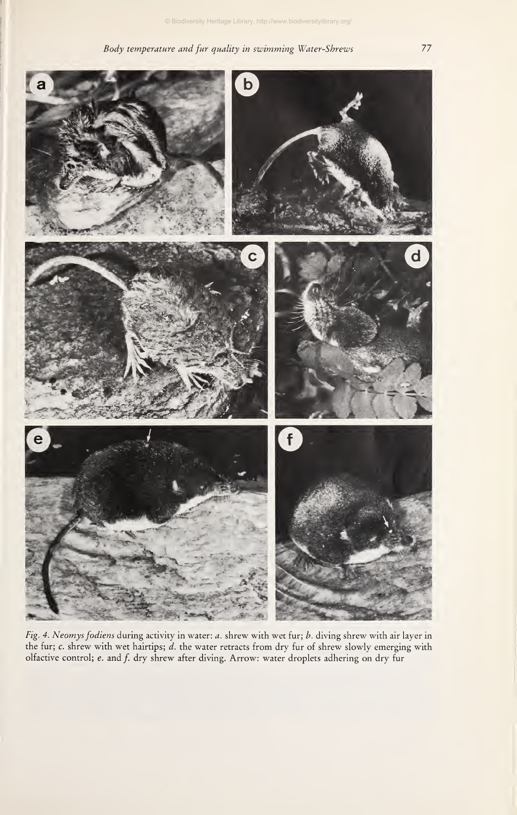# Body temperature and für quality in swimming Water-Sbrews 77





Fig. 4. Neomys fodiens during activity in water: a. shrew with wet für; b. diving shrew with air layer in the fur; c. shrew with wet hairtips; d. the water retracts from dry fur of shrew slowly emerging with olfactive control; e. and f. dry shrew after diving. Arrow: water droplets adhering on dry fur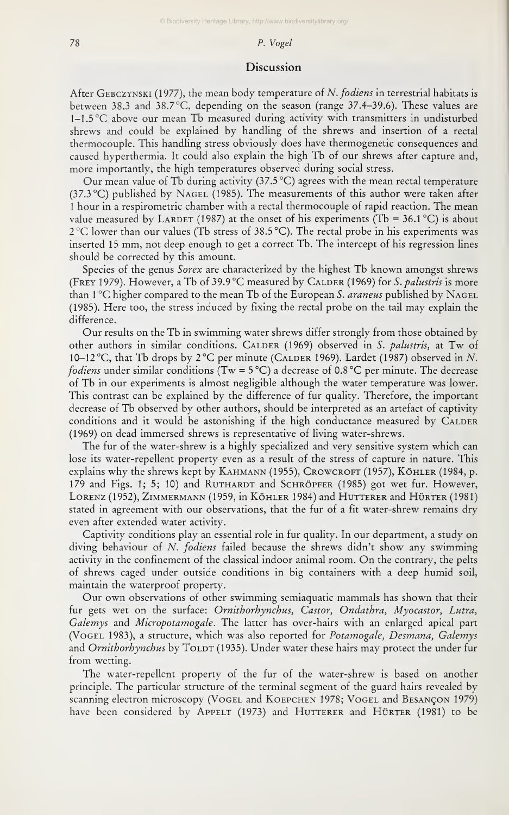## 78 P. Vogel

# Discussion

After GEBCZYNSKI (1977), the mean body temperature of N. fodiens in terrestrial habitats is between 38.3 and 38.7 °C, depending on the season (range 37.4-39.6). These values are 1-1.5 °C above our mean Tb measured during activity with transmitters in undisturbed shrews and could be explained by handling of the shrews and insertion of <sup>a</sup> rectal thermocouple. This handling stress obviously does have thermogenetic consequences and caused hyperthermia. It could also explain the high Tb of our shrews after capture and, more importantly, the high temperatures observed during social stress.

Our mean value of Tb during activity  $(37.5^{\circ}C)$  agrees with the mean rectal temperature (37.3 °C) published by Nagel (1985). The measurements of this author were taken after <sup>1</sup> hour in <sup>a</sup> respirometric chamber with <sup>a</sup> rectal thermocouple of rapid reaction. The mean value measured by LARDET (1987) at the onset of his experiments (Tb = 36.1 °C) is about 2°C lower than our values (Tb stress of 38.5 °C). The rectal probe in his experiments was inserted <sup>15</sup> mm, not deep enough to get <sup>a</sup> correct Tb. The intercept of his regression lines should be corrected by this amount.

Species of the genus Sorex are characterized by the highest Tb known amongst shrews (FREY 1979). However, a Tb of 39.9 °C measured by CALDER (1969) for S. palustris is more than  $1^{\circ}$ C higher compared to the mean Tb of the European S. *araneus* published by NAGEL (1985). Here too, the stress induced by fixing the rectal probe on the tail may explain the difference.

Our results on the Tb inswimming water shrews differ strongly from those obtained by other authors in similar conditions. CALDER (1969) observed in S. palustris, at Tw of 10-12 °C, that Tb drops by 2°C per minute (Calder 1969). Lardet (1987) observed in N. *fodiens* under similar conditions (Tw =  $5^{\circ}$ C) a decrease of 0.8 °C per minute. The decrease of Tb in our experiments isalmost negligible although the water temperature was lower. This contrast can be explained by the difference of für quality. Therefore, the important decrease of Tb observed by other authors, should be interpreted as an artefact of captivity conditions and it would be astonishing if the high conductance measured by CALDER (1969) on dead immersed shrews is representative of living water-shrews.

The fur of the water-shrew is a highly specialized and very sensitive system which can lose its water-repellent property even as a result of the stress of capture in nature. This explains why the shrews kept by Kahmann (1955), Crowcroft (1957), Köhler (1984, p. 179 and Figs. 1; 5; 10) and RUTHARDT and SCHRÖPFER (1985) got wet fur. However, Lorenz (1952), Zimmermann (1959, in Köhler 1984) and Hutterer and Hürter (1981) stated in agreement with our observations, that the für of a fit water-shrew remains dry even after extended water activity.

Captivity conditions play an essential role in für quality. In our department, <sup>a</sup> study on diving behaviour of N. fodiens failed because the shrews didn't show any swimming activity in the confinement of the classical indoor animal room. On the contrary, the pelts of shrews caged under outside conditions in big Containers with <sup>a</sup> deep humid soil, maintain the waterproof property.

Our own observations of other swimming semiaquatic mammals has shown that their fur gets wet on the surface: Ornithorhynchus, Castor, Ondathra, Myocastor, Lutra, Galemys and Micropotamogale. The latter has over-hairs with an enlarged apical part (Vogel 1983), <sup>a</sup> structure, which was also reported for Potamogale, Desmana, Galemys and Ornithorhynchus by TOLDT (1935). Under water these hairs may protect the under fur from Wetting.

The water-repellent property of the für of the water-shrew isbased on another principle. The particular structure of the terminal segment of the guard hairs revealed by scanning electron microscopy (Vogel and Koepchen 1978; Vogel and Besancon 1979) have been considered by APPELT (1973) and HUTTERER and HÜRTER (1981) to be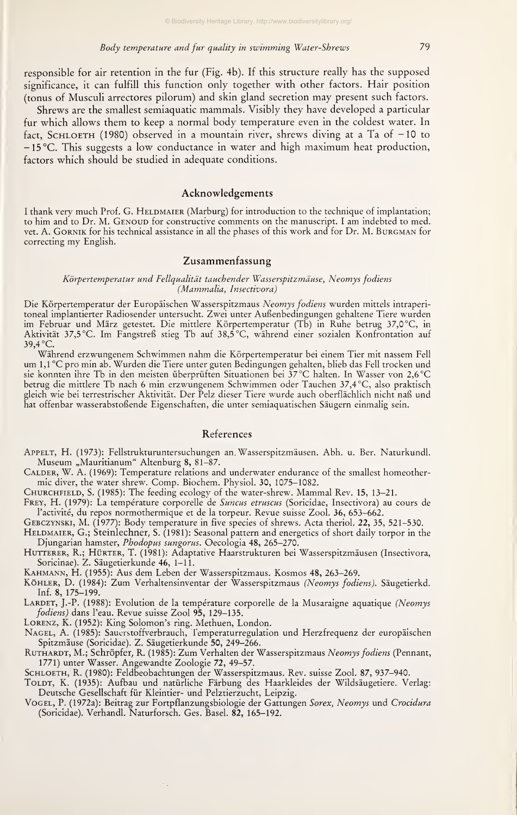responsible for air retention in the für (Fig. 4b). If this structure really has the supposed significance, it can fulfill this function only together with other factors. Hair position (tonus of Musculi arrectores pilorum) and skin gland secretion may present such factors.

Shrews are the smallest semiaquatic mammals. Visibly they have developed <sup>a</sup> particular für which allows them to keep <sup>a</sup> normal body temperature even in the coldest water. In fact, SCHLOETH (1980) observed in a mountain river, shrews diving at a Ta of  $-10$  to -15°C. This suggests <sup>a</sup> low conductance in water and high maximum heat production, factors which should be studied in adequate conditions.

#### Acknowledgements

I thank very much Prof. G. HELDMAIER (Marburg) for introduction to the technique of implantation; to him and to Dr. M. GENOUD for constructive comments on the manuscript. I am indebted to med. vet. A. GORNIK for his technical assistance in all the phases of this work and for Dr. M. BURGMAN for correcting my English.

# Zusammenfassung

#### Körpertemperatur und Fellqualität tauchender Wasserspitzmäuse, Neomys fodiens (Mammalia, Insectivora)

Die Körpertemperatur der Europäischen Wasserspitzmaus Neomys fodiens wurden mittels intraperi toneal implantierter Radiosender untersucht. Zwei unter Außenbedingungen gehaltene Tiere wurden im Februar und März getestet. Die mittlere Körpertemperatur (Tb) in Ruhe betrug 37,0 °C, in Aktivität 37,5 °C. Im Fangstreß stieg Tb auf 38,5 °C, während einer sozialen Konfrontation auf 39,4 °C.

Während erzwungenem Schwimmen nahm die Körpertemperatur bei einem Tier mit nassem Fell um 1,1 °C pro min ab. Wurden die Tiere unter guten Bedingungen gehalten, blieb das Fell trocken und sie konnten ihre Tb in den meisten überprüften Situationen bei 37 °C halten. In Wasser von 2,6 °C halten von 2,6 °C betrug die mittlere Tb nach 6 min erzwungenem Schwimmen oder Tauchen 37,4 °C, also praktisch gleich wie bei terrestrischer Aktivität. Der Pelz dieser Tiere wurde auch oberflächlich nicht naß und hat offenbar wasserabstoßende Eigenschaften, die unter semiaquatischen Säugern einmalig sein.

## References

Appelt, H. (1973): Fellstrukturuntersuchungen an. Wasserspitzmäusen. Abh. u. Ber. Naturkundl. Museum "Mauritianum" Altenburg 8, 81-87.

Calder, W. A. (1969): Temperature relations and underwater endurance of the smallest homeothermic diver, the water shrew. Comp. Biochem. Physiol. 30, 1075-1082.

Churchfield, S. (1985): The feeding ecology of the water-shrew. Mammal Rev. 15, 13-21.

FREY, H. (1979): La température corporelle de Suncus etruscus (Soricidae, Insectivora) au cours de l'activité, du repos normothermique et de la torpeur. Revue suisse Zool. 36, 653-662.

Gebczynski, M. (1977): Body temperature in five species of shrews. Acta theriol. 22, 35, 521-530.

HELDMAIER, G.; Steinlechner, S. (1981): Seasonal pattern and energetics of short daily torpor in the Djungarian hamster, Phodopus sungorus. Oecologia 48, 265-270.

HUTTERER, R.; HÜRTER, T. (1981): Adaptative Haarstrukturen bei Wasserspitzmäusen (Insectivora, Soricinae). Z. Säugetierkunde 46, 1–11.

Kahmann, H. (1955): Aus dem Leben der Wasserspitzmaus. Kosmos 48, 263-269.

KöHLER, D. (1984): Zum Verhaltensinventar der Wasserspitzmaus (Neomys fodiens). Säugetierkd. Inf. 8, 175-199.

LARDET, J.-P. (1988): Evolution de la température corporelle de la Musaraigne aquatique (Neomys fodiens) dans l'eau. Revue suisse Zool 95, 129-135.

Lorenz, K. (1952): King Solomon's ring. Methuen, London.

Nagel, A. (1985): Sauerstoffverbrauch, femperaturregulation und Herzfrequenz der europäischen Spitzmäuse (Soricidae). Z. Säugetierkunde 50, 249-266.

RUTHARDT, M.; Schröpfer, R. (1985): Zum Verhalten der Wasserspitzmaus Neomys fodiens (Pennant, 1771) unter Wasser. Angewandte Zoologie 72, 49-57.

Schloeth, R. (1980): Feldbeobachtungen der Wasserspitzmaus. Rev. suisse Zool. 87, 937-940.

TOLDT, K. (1935): Aufbau und natürliche Färbung des Haarkleides der Wildsäugetiere. Verlag: Deutsche Gesellschaft für Kleintier- und Pelztierzucht, Leipzig.

VogeL, P. (1972a): Beitrag zur Fortpflanzungsbiologie der Gattungen S*orex, Neomys* und C*rocidura* (Soricidae). Verhandl. Naturforsch. Ges. Basel. 82, 165-192.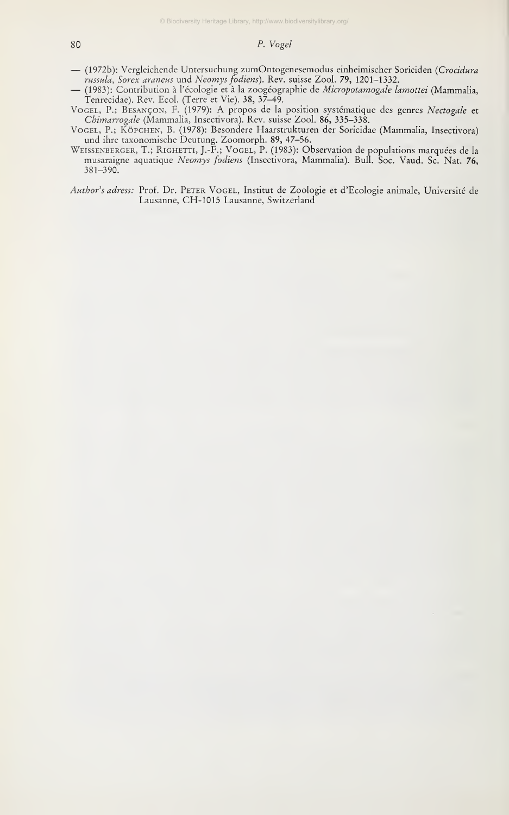# so P. Vogel

- (1972b): Vergleichende Untersuchung zumOntogenesemodus einheimischer Soriciden (Crocidura<br>russula, Sorex araneus und Neomys fodiens). Rev. suisse Zool. 79, 1201-1332.
- (1983): Contribution à l'écologie et à la zoogéographie de Micropotamogale lamottei (Mammalia,
- Tenrecidae). Rev. Ecol. (Terre et Vie). 38, 37-49. Vogel, P.; Besancon, F. (1979): A propos de la position systematique des genres Nectogale et
- C*himarrogale* (Mammalia, Insectivora). Rev. suisse Zool. **86,** 335–338.<br>Vogel, P.; Köpchen, B. (1978): Besondere Haarstrukturen der Soricidae (Mammalia, Insectivora) und ihre taxonomische Deutung. Zoomorph. 89, 47-56.
- Weissenberger, T.; Righetti, J.-F.; Vogel, P. (1983): Observation de populations marquees de la musaraigne aquatique Neomys fodiens (Insectivora, Mammalia). Bull. Soc. Vaud. Sc. Nat. 76, 381-390.
- Author's adress: Prof. Dr. PETER VOGEL, Institut de Zoologie et d'Ecologie animale, Université de Lausanne, CH-1015 Lausanne, Switzerland